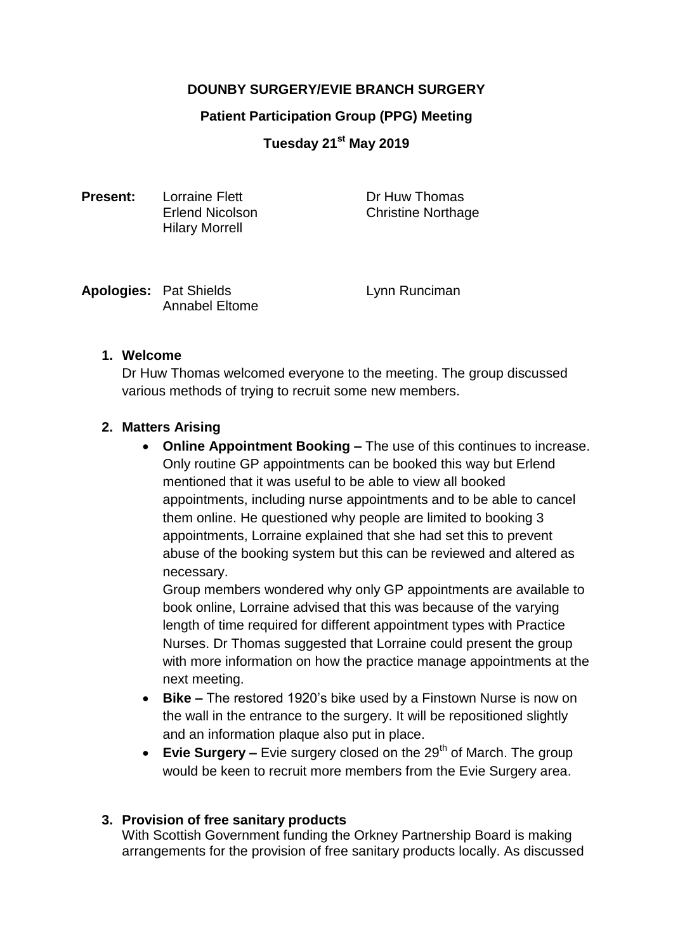# **DOUNBY SURGERY/EVIE BRANCH SURGERY**

### **Patient Participation Group (PPG) Meeting**

**Tuesday 21st May 2019**

**Present:** Lorraine Flett **Dr Huw Thomas** Hilary Morrell

Erlend Nicolson Christine Northage

| <b>Apologies: Pat Shields</b> |
|-------------------------------|
| <b>Annabel Eltome</b>         |

**Lynn Runciman** 

# **1. Welcome**

Dr Huw Thomas welcomed everyone to the meeting. The group discussed various methods of trying to recruit some new members.

### **2. Matters Arising**

**• Online Appointment Booking –** The use of this continues to increase. Only routine GP appointments can be booked this way but Erlend mentioned that it was useful to be able to view all booked appointments, including nurse appointments and to be able to cancel them online. He questioned why people are limited to booking 3 appointments, Lorraine explained that she had set this to prevent abuse of the booking system but this can be reviewed and altered as necessary.

Group members wondered why only GP appointments are available to book online, Lorraine advised that this was because of the varying length of time required for different appointment types with Practice Nurses. Dr Thomas suggested that Lorraine could present the group with more information on how the practice manage appointments at the next meeting.

- **Bike –** The restored 1920's bike used by a Finstown Nurse is now on the wall in the entrance to the surgery. It will be repositioned slightly and an information plaque also put in place.
- Evie Surgery Evie surgery closed on the 29<sup>th</sup> of March. The group would be keen to recruit more members from the Evie Surgery area.

# **3. Provision of free sanitary products**

With Scottish Government funding the Orkney Partnership Board is making arrangements for the provision of free sanitary products locally. As discussed